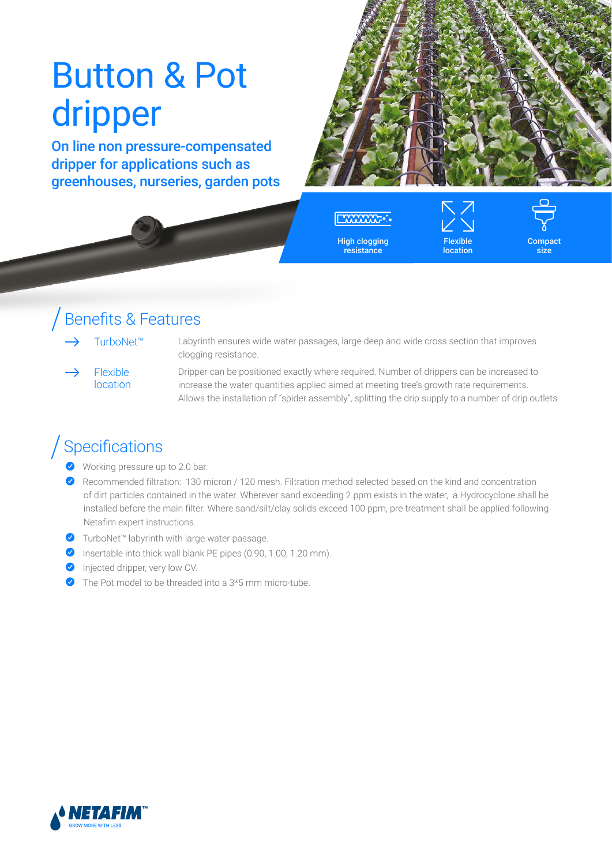# Button & Pot dripper

On line non pressure-compensated dripper for applications such as greenhouses, nurseries, garden pots



**CXXXXXX-:** High clogging resistance

Flexible location



# Benefits & Features

TurboNet™ Labyrinth ensures wide water passages, large deep and wide cross section that improves clogging resistance.

Flexible location Dripper can be positioned exactly where required. Number of drippers can be increased to increase the water quantities applied aimed at meeting tree's growth rate requirements. Allows the installation of "spider assembly", splitting the drip supply to a number of drip outlets.

# Specifications

- Working pressure up to 2.0 bar.
- Recommended filtration: 130 micron / 120 mesh. Filtration method selected based on the kind and concentration of dirt particles contained in the water. Wherever sand exceeding 2 ppm exists in the water, a Hydrocyclone shall be installed before the main filter. Where sand/silt/clay solids exceed 100 ppm, pre treatment shall be applied following Netafim expert instructions.
- ◆ TurboNet™ labyrinth with large water passage.
- Insertable into thick wall blank PE pipes  $(0.90, 1.00, 1.20 \text{ mm})$ .
- Injected dripper, very low CV.
- $\triangledown$  The Pot model to be threaded into a 3\*5 mm micro-tube.

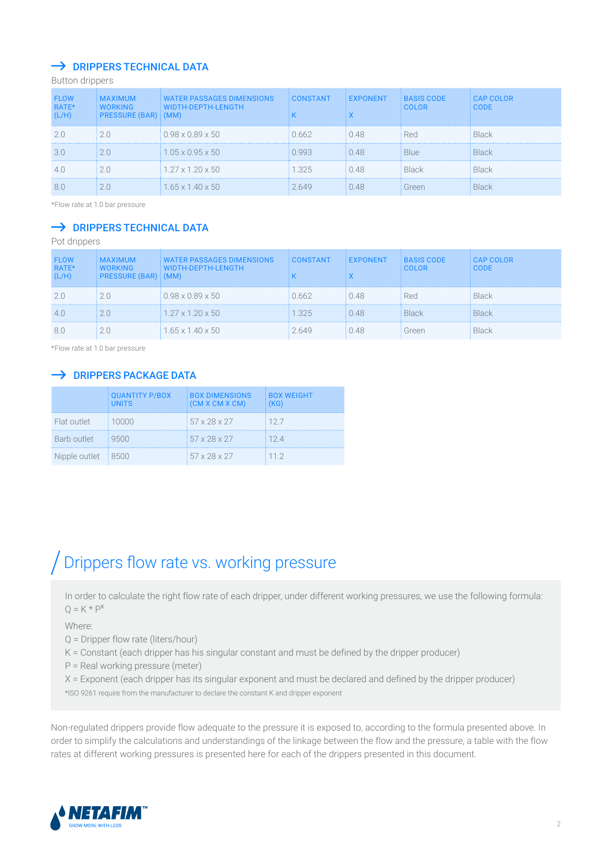# $\rightarrow$  DRIPPERS TECHNICAL DATA

Button drippers

| <b>FLOW</b><br>RATE*<br>(L/H) | <b>MAXIMUM</b><br><b>WORKING</b><br><b>PRESSURE (BAR)</b> (MM) | <b>WATER PASSAGES DIMENSIONS</b><br><b>WIDTH-DEPTH-LENGTH</b> | CONSTANT | EXPONENT | <b>BASIS CODE</b><br><b>COLOR</b> | <b>CAP COLOR</b><br>CODE |
|-------------------------------|----------------------------------------------------------------|---------------------------------------------------------------|----------|----------|-----------------------------------|--------------------------|
| 2.0                           |                                                                | $0.98 \times 0.89 \times 50$                                  | N 662    | 0.48     | Red                               | Black                    |
| 3.0                           |                                                                | $1.05 \times 0.95 \times 50$                                  | N 993    | ገ 4ጸ     | <b>Blue</b>                       | <b>Black</b>             |
| 4.0                           |                                                                | $1.27 \times 1.20 \times 50$                                  | 1.325    | i N 48   | <b>Black</b>                      | Black                    |
| -8.0                          |                                                                | $1.65 \times 1.40 \times 50$                                  | 2649     | ነ 48     | Green                             | <b>Black</b>             |

\*Flow rate at 1.0 bar pressure

# $\rightarrow$  DRIPPERS TECHNICAL DATA

Pot drippers

| <b>FLOW</b><br>RATE*<br>(L/H) | <b>MAXIMUM</b><br><b>WORKING</b><br><b>PRESSURE (BAR)</b> (MM) | <b>WATER PASSAGES DIMENSIONS</b><br><b>WIDTH-DEPTH-LENGTH</b> | CONSTANT | EXPONENT | <b>BASIS CODE</b><br>COLOR. | <b>CAP COLOR</b><br>CODE |
|-------------------------------|----------------------------------------------------------------|---------------------------------------------------------------|----------|----------|-----------------------------|--------------------------|
| -2.0                          |                                                                | $0.98 \times 0.89 \times 50$                                  | 7 662    | 48       |                             | Black                    |
| 4.0                           |                                                                | $1.27 \times 1.20 \times 50$                                  | 325      | $\ln 48$ | Black                       | Black                    |
| 8.0                           |                                                                | $1.65 \times 1.40 \times 50$                                  | 2649     | 1 4.R    |                             | Black                    |

\*Flow rate at 1.0 bar pressure

# $\rightarrow$  DRIPPERS PACKAGE DATA

|                      | <b>QUANTITY P/BOX</b><br><b>UNITS</b> | <b>BOX DIMENSIONS</b><br>(CM X CM X CM) | <b>BOX WEIGHT</b> |
|----------------------|---------------------------------------|-----------------------------------------|-------------------|
| Flat outlet          | 10000                                 | 57 x 28 x 27                            | 12.7              |
| Barb outlet          | 9500                                  | 57 x 28 x 27                            | 12 A              |
| Nipple outlet   8500 |                                       | 57 x 28 x 27                            | 112               |

# Drippers flow rate vs. working pressure

In order to calculate the right flow rate of each dripper, under different working pressures, we use the following formula:  $Q = K * P^X$ 

Where:

Q = Dripper flow rate (liters/hour)

K = Constant (each dripper has his singular constant and must be defined by the dripper producer)

P = Real working pressure (meter)

X = Exponent (each dripper has its singular exponent and must be declared and defined by the dripper producer)

\*ISO 9261 require from the manufacturer to declare the constant K and dripper exponent

Non-regulated drippers provide flow adequate to the pressure it is exposed to, according to the formula presented above. In order to simplify the calculations and understandings of the linkage between the flow and the pressure, a table with the flow rates at different working pressures is presented here for each of the drippers presented in this document.

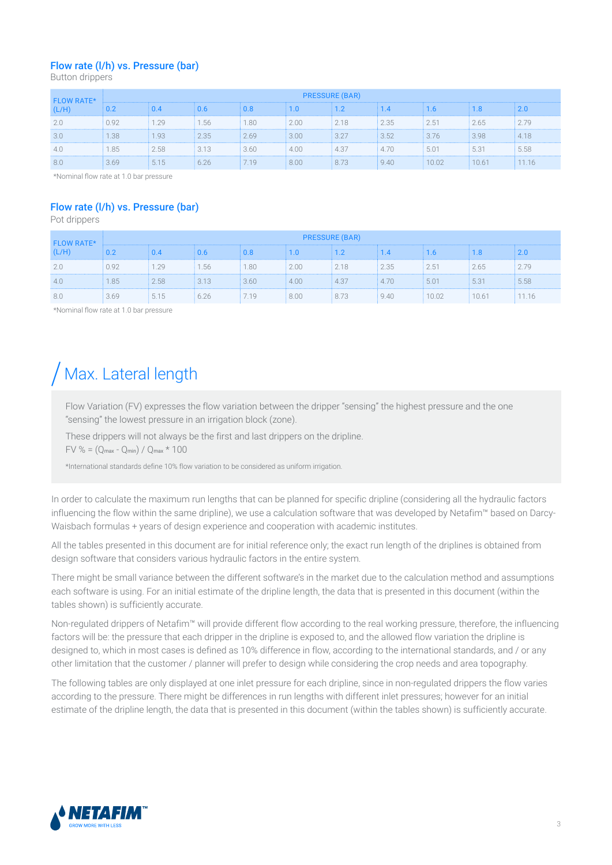### Flow rate (l/h) vs. Pressure (bar)

Button drippers

| <b>FLOW RATE*</b> |               | <b>PRESSURE (BAR)</b>          |            |                               |                    |                      |        |                    |           |      |  |  |  |
|-------------------|---------------|--------------------------------|------------|-------------------------------|--------------------|----------------------|--------|--------------------|-----------|------|--|--|--|
| (L/H)             |               | $\pm 0.4$<br><b>CONTRACTOR</b> | 106        | $-0.8 -$<br><b>CONTRACTOR</b> | $\blacksquare$ 1.0 | $\blacktriangle$ 1.2 | $-1.4$ | $\blacksquare$ 1.6 | $\pm 1.8$ | 12.0 |  |  |  |
|                   | 092           | 1.29                           | 1.56       | .80                           | 12.00              | 1218                 | 12.35  | 12.51              | : 265     | 279  |  |  |  |
| 3.0               | 1.93<br>.38   |                                | 12.35      | .769                          | $-13.00$           | $\frac{13.27}{2}$    | 3.52   | $-3.76$            | $-398$    | 4.18 |  |  |  |
| 4.0               | $1.85$ $1.85$ |                                | $\pm 3.13$ | 3.60.                         | 4.00               | 4.37                 | 470    | 5.01               | 15.31     | 5.58 |  |  |  |
| 8.C               | 5.15<br>69    |                                | 626        | 7.19                          | 8.00               | 873                  | 9 4N   | 1002               | 10.61     | 1.16 |  |  |  |

\*Nominal flow rate at 1.0 bar pressure

# Flow rate (l/h) vs. Pressure (bar)

Pot drippers

|       |      | <b>PRESSURE (BAR)</b> |                  |     |               |               |      |                    |       |               |  |  |  |
|-------|------|-----------------------|------------------|-----|---------------|---------------|------|--------------------|-------|---------------|--|--|--|
| (L/H) |      |                       |                  | ) ጸ | $ 1.0\rangle$ | $\frac{1}{2}$ | 1.4  | $\frac{1}{2}$ 16   |       | $2.0^{\circ}$ |  |  |  |
| -2.0  | l 92 | 1.29                  | 156              | .80 | 12.00         | 18            | 2.35 | 12.51              | 2.65  |               |  |  |  |
| 4.0   | 1.85 | 12.58                 | $\frac{1}{3}$ 13 | 360 | 4.00          | 4.37          | 4.70 | $\frac{1}{2}$ 5.01 | 531   | 5.58          |  |  |  |
| 8.0   | : 69 | 515                   |                  | 19  | 800           | 873           | 940  | (10.02)            | 10.61 | 116           |  |  |  |

\*Nominal flow rate at 1.0 bar pressure

# Max. Lateral length

Flow Variation (FV) expresses the flow variation between the dripper "sensing" the highest pressure and the one "sensing" the lowest pressure in an irrigation block (zone).

These drippers will not always be the first and last drippers on the dripline.

 $FV % = (Q_{max} - Q_{min}) / Q_{max} * 100$ 

\*International standards define 10% flow variation to be considered as uniform irrigation.

In order to calculate the maximum run lengths that can be planned for specific dripline (considering all the hydraulic factors influencing the flow within the same dripline), we use a calculation software that was developed by Netafim™ based on Darcy-Waisbach formulas + years of design experience and cooperation with academic institutes.

All the tables presented in this document are for initial reference only; the exact run length of the driplines is obtained from design software that considers various hydraulic factors in the entire system.

There might be small variance between the different software's in the market due to the calculation method and assumptions each software is using. For an initial estimate of the dripline length, the data that is presented in this document (within the tables shown) is sufficiently accurate.

Non-regulated drippers of Netafim™ will provide different flow according to the real working pressure, therefore, the influencing factors will be: the pressure that each dripper in the dripline is exposed to, and the allowed flow variation the dripline is designed to, which in most cases is defined as 10% difference in flow, according to the international standards, and / or any other limitation that the customer / planner will prefer to design while considering the crop needs and area topography.

The following tables are only displayed at one inlet pressure for each dripline, since in non-regulated drippers the flow varies according to the pressure. There might be differences in run lengths with different inlet pressures; however for an initial estimate of the dripline length, the data that is presented in this document (within the tables shown) is sufficiently accurate.

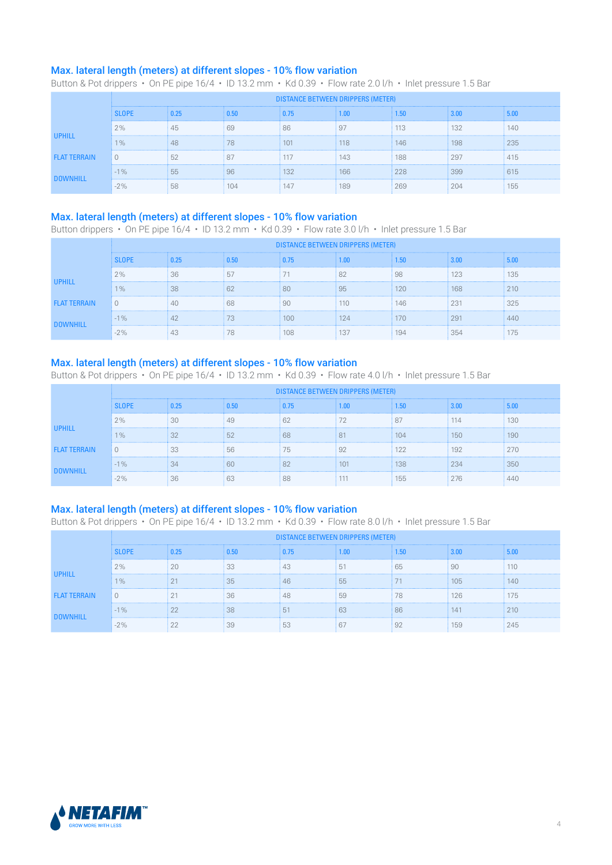#### Max. lateral length (meters) at different slopes - 10% flow variation

|                     |             |  | DISTANCE BETWEEN DRIPPERS (METER) |     |     |     |
|---------------------|-------------|--|-----------------------------------|-----|-----|-----|
|                     | <b>TIPF</b> |  |                                   |     |     |     |
|                     | 2%          |  |                                   |     |     | 140 |
|                     | $1\%$       |  |                                   | 146 | 198 | 235 |
| <b>FLAT TERRAIN</b> |             |  |                                   |     |     |     |
| DOWNHILL            | $-1\%$      |  | 66                                |     |     |     |
|                     | $-2%$       |  |                                   |     |     | 155 |

Button & Pot drippers • On PE pipe 16/4 • ID 13.2 mm • Kd 0.39 • Flow rate 2.0 l/h • Inlet pressure 1.5 Bar

## Max. lateral length (meters) at different slopes - 10% flow variation

Button drippers • On PE pipe 16/4 • ID 13.2 mm • Kd 0.39 • Flow rate 3.0 I/h • Inlet pressure 1.5 Bar

|                     |       |  | DISTANCE BETWEEN DRIPPERS (METER) |      |    |
|---------------------|-------|--|-----------------------------------|------|----|
|                     |       |  |                                   | 450. |    |
|                     | 2%    |  |                                   |      | 35 |
| <b>UPHILL</b>       | $1\%$ |  |                                   |      |    |
| <b>FLAT TERRAIN</b> |       |  |                                   |      |    |
| <b>DOWNHILL</b>     | $-1%$ |  |                                   |      |    |
|                     |       |  |                                   |      |    |

# Max. lateral length (meters) at different slopes - 10% flow variation

Button & Pot drippers • On PE pipe 16/4 • ID 13.2 mm • Kd 0.39 • Flow rate 4.0 l/h • Inlet pressure 1.5 Bar

|                     |        |  | DISTANCE BETWEEN DRIPPERS (METER) |    |    |    |
|---------------------|--------|--|-----------------------------------|----|----|----|
|                     |        |  |                                   |    |    |    |
|                     | 2%     |  |                                   |    |    | 30 |
| <b>TIPHIL</b>       | $1\%$  |  |                                   |    | 5( |    |
| <b>TEAL LEBRAIN</b> |        |  |                                   |    |    |    |
| <b>JOWNHILL</b>     | $-1%$  |  |                                   | 38 |    |    |
|                     | $-2\%$ |  |                                   | hh |    |    |

#### Max. lateral length (meters) at different slopes - 10% flow variation

Button & Pot drippers • On PE pipe 16/4 • ID 13.2 mm • Kd 0.39 • Flow rate 8.0 l/h • Inlet pressure 1.5 Bar

|                     |        |  | DISTANCE BETWEEN DRIPPERS (METER) |     |  |
|---------------------|--------|--|-----------------------------------|-----|--|
|                     |        |  |                                   |     |  |
|                     | 2%     |  |                                   |     |  |
|                     | $1\%$  |  |                                   | (1) |  |
| <b>FLAI IERRAIN</b> |        |  |                                   |     |  |
|                     | $-1\%$ |  |                                   |     |  |
|                     |        |  |                                   |     |  |

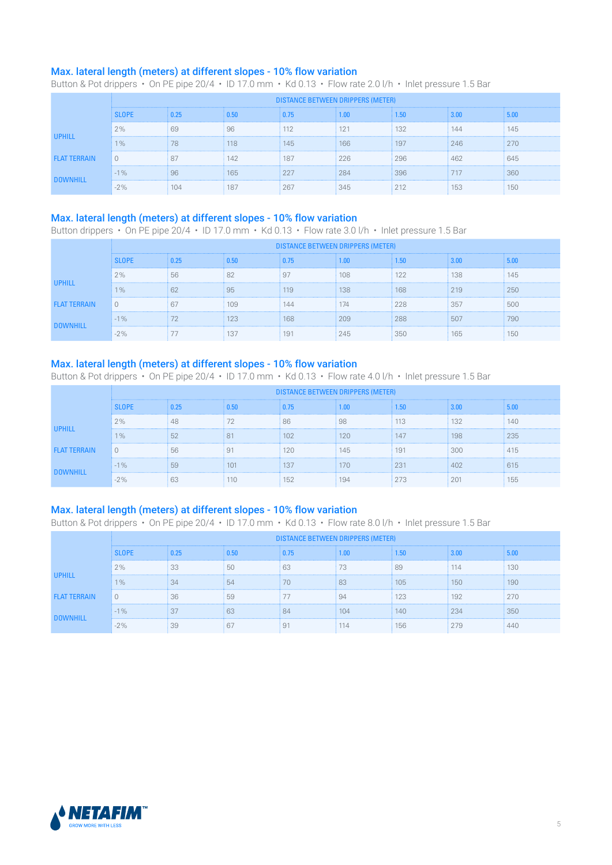#### Max. lateral length (meters) at different slopes - 10% flow variation

|                     |       |  | DISTANCE BETWEEN DRIPPERS (METER) |     |     |
|---------------------|-------|--|-----------------------------------|-----|-----|
|                     | SLOPE |  |                                   | .50 |     |
| <b>HPHILL</b>       | 2%    |  |                                   |     | 45  |
|                     | 1%    |  | hh                                |     |     |
| <b>FLAI LERRAIN</b> |       |  |                                   |     | n4h |
|                     | $-1%$ |  |                                   |     | 360 |
|                     |       |  |                                   |     |     |

Button & Pot drippers • On PE pipe 20/4 • ID 17.0 mm • Kd 0.13 • Flow rate 2.0 l/h • Inlet pressure 1.5 Bar

## Max. lateral length (meters) at different slopes - 10% flow variation

Button drippers • On PE pipe 20/4 • ID 17.0 mm • Kd 0.13 • Flow rate 3.0 l/h • Inlet pressure 1.5 Bar

|                     |       |  | DISTANCE BETWEEN DRIPPERS (METER) |                  |     |     |
|---------------------|-------|--|-----------------------------------|------------------|-----|-----|
|                     |       |  |                                   | .50 <sub>1</sub> |     |     |
|                     | 2%    |  | J۶                                |                  |     | 145 |
| UPHILI              | $1\%$ |  |                                   |                  |     | 250 |
| <b>FLAT TERRAIN</b> |       |  |                                   |                  |     | 500 |
|                     | $-1%$ |  |                                   |                  |     | 79C |
| <b>DOWNHILL</b>     |       |  |                                   |                  | 165 |     |

### Max. lateral length (meters) at different slopes - 10% flow variation

Button & Pot drippers • On PE pipe 20/4 • ID 17.0 mm • Kd 0.13 • Flow rate 4.0 l/h • Inlet pressure 1.5 Bar

|               |        |  | DISTANCE BETWEEN DRIPPERS (METER) |  |     |
|---------------|--------|--|-----------------------------------|--|-----|
|               |        |  |                                   |  |     |
|               | 2%     |  |                                   |  |     |
|               | $1\%$  |  |                                   |  |     |
|               |        |  | 45                                |  |     |
| <b>AWNHIL</b> | $-1\%$ |  |                                   |  |     |
|               |        |  |                                   |  | h h |

### Max. lateral length (meters) at different slopes - 10% flow variation

Button & Pot drippers • On PE pipe 20/4 • ID 17.0 mm • Kd 0.13 • Flow rate 8.0 l/h • Inlet pressure 1.5 Bar

|                     | DISTANCE BETWEEN DRIPPERS (METER) |  |  |  |  |                |    |     |  |
|---------------------|-----------------------------------|--|--|--|--|----------------|----|-----|--|
|                     |                                   |  |  |  |  |                |    |     |  |
|                     | 2%                                |  |  |  |  |                | 14 |     |  |
|                     | $1\%$                             |  |  |  |  | 0 <sub>5</sub> | h( | 19C |  |
| <b>FLAT TERRAIN</b> |                                   |  |  |  |  |                |    |     |  |
| <b>DOWNHILL</b>     | $-1%$                             |  |  |  |  |                |    |     |  |
|                     |                                   |  |  |  |  | br             |    |     |  |